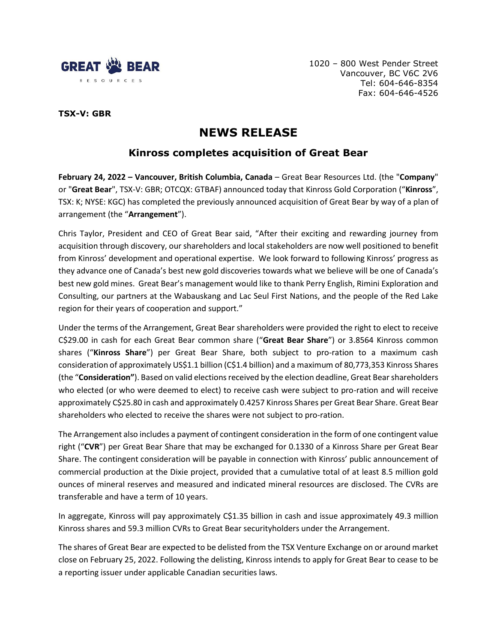

1020 – 800 West Pender Street Vancouver, BC V6C 2V6 Tel: 604-646-8354 Fax: 604-646-4526

## **TSX-V: GBR**

# **NEWS RELEASE**

# **Kinross completes acquisition of Great Bear**

**February 24, 2022 – Vancouver, British Columbia, Canada** – Great Bear Resources Ltd. (the "**Company**" or "**Great Bear**", TSX-V: GBR; OTCQX: GTBAF) announced today that Kinross Gold Corporation ("**Kinross**", TSX: K; NYSE: KGC) has completed the previously announced acquisition of Great Bear by way of a plan of arrangement (the "**Arrangement**").

Chris Taylor, President and CEO of Great Bear said, "After their exciting and rewarding journey from acquisition through discovery, our shareholders and local stakeholders are now well positioned to benefit from Kinross' development and operational expertise. We look forward to following Kinross' progress as they advance one of Canada's best new gold discoveries towards what we believe will be one of Canada's best new gold mines. Great Bear's management would like to thank Perry English, Rimini Exploration and Consulting, our partners at the Wabauskang and Lac Seul First Nations, and the people of the Red Lake region for their years of cooperation and support."

Under the terms of the Arrangement, Great Bear shareholders were provided the right to elect to receive C\$29.00 in cash for each Great Bear common share ("**Great Bear Share**") or 3.8564 Kinross common shares ("**Kinross Share**") per Great Bear Share, both subject to pro-ration to a maximum cash consideration of approximately US\$1.1 billion (C\$1.4 billion) and a maximum of 80,773,353 Kinross Shares (the "**Consideration"**). Based on valid elections received by the election deadline, Great Bear shareholders who elected (or who were deemed to elect) to receive cash were subject to pro-ration and will receive approximately C\$25.80 in cash and approximately 0.4257 Kinross Shares per Great Bear Share. Great Bear shareholders who elected to receive the shares were not subject to pro-ration.

The Arrangement also includes a payment of contingent consideration in the form of one contingent value right ("**CVR**") per Great Bear Share that may be exchanged for 0.1330 of a Kinross Share per Great Bear Share. The contingent consideration will be payable in connection with Kinross' public announcement of commercial production at the Dixie project, provided that a cumulative total of at least 8.5 million gold ounces of mineral reserves and measured and indicated mineral resources are disclosed. The CVRs are transferable and have a term of 10 years.

In aggregate, Kinross will pay approximately C\$1.35 billion in cash and issue approximately 49.3 million Kinross shares and 59.3 million CVRs to Great Bear securityholders under the Arrangement.

The shares of Great Bear are expected to be delisted from the TSX Venture Exchange on or around market close on February 25, 2022. Following the delisting, Kinross intends to apply for Great Bear to cease to be a reporting issuer under applicable Canadian securities laws.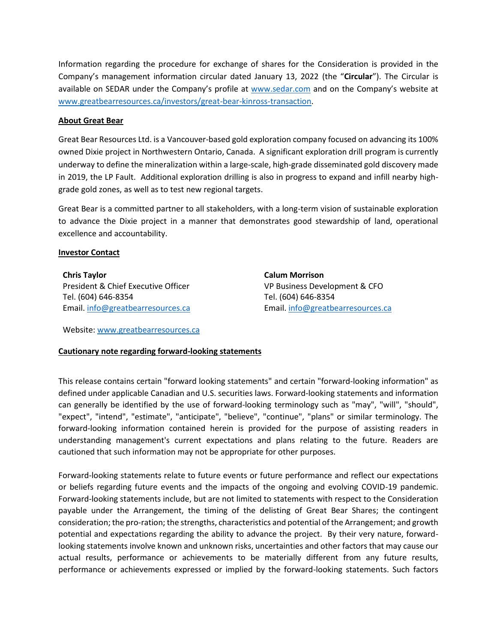Information regarding the procedure for exchange of shares for the Consideration is provided in the Company's management information circular dated January 13, 2022 (the "**Circular**"). The Circular is available on SEDAR under the Company's profile at [www.sedar.com](http://www.sedar.com/) and on the Company's website at [www.greatbearresources.ca/investors/great-bear-kinross-transaction.](http://www.greatbearresources.ca/investors/great-bear-kinross-transaction)

#### **About Great Bear**

Great Bear Resources Ltd. is a Vancouver-based gold exploration company focused on advancing its 100% owned Dixie project in Northwestern Ontario, Canada. A significant exploration drill program is currently underway to define the mineralization within a large-scale, high-grade disseminated gold discovery made in 2019, the LP Fault. Additional exploration drilling is also in progress to expand and infill nearby highgrade gold zones, as well as to test new regional targets.

Great Bear is a committed partner to all stakeholders, with a long-term vision of sustainable exploration to advance the Dixie project in a manner that demonstrates good stewardship of land, operational excellence and accountability.

#### **Investor Contact**

**Chris Taylor** President & Chief Executive Officer Tel. (604) 646-8354 Email. [info@greatbearresources.ca](mailto:info@greatbearresources.ca) **Calum Morrison** VP Business Development & CFO Tel. (604) 646-8354 Email. [info@greatbearresources.ca](mailto:info@greatbearresources.ca)

Website: [www.greatbearresources.ca](http://www.greatbearresources.ca/)

### **Cautionary note regarding forward-looking statements**

This release contains certain "forward looking statements" and certain "forward-looking information" as defined under applicable Canadian and U.S. securities laws. Forward-looking statements and information can generally be identified by the use of forward-looking terminology such as "may", "will", "should", "expect", "intend", "estimate", "anticipate", "believe", "continue", "plans" or similar terminology. The forward-looking information contained herein is provided for the purpose of assisting readers in understanding management's current expectations and plans relating to the future. Readers are cautioned that such information may not be appropriate for other purposes.

Forward-looking statements relate to future events or future performance and reflect our expectations or beliefs regarding future events and the impacts of the ongoing and evolving COVID-19 pandemic. Forward-looking statements include, but are not limited to statements with respect to the Consideration payable under the Arrangement, the timing of the delisting of Great Bear Shares; the contingent consideration; the pro-ration; the strengths, characteristics and potential of the Arrangement; and growth potential and expectations regarding the ability to advance the project. By their very nature, forwardlooking statements involve known and unknown risks, uncertainties and other factors that may cause our actual results, performance or achievements to be materially different from any future results, performance or achievements expressed or implied by the forward-looking statements. Such factors